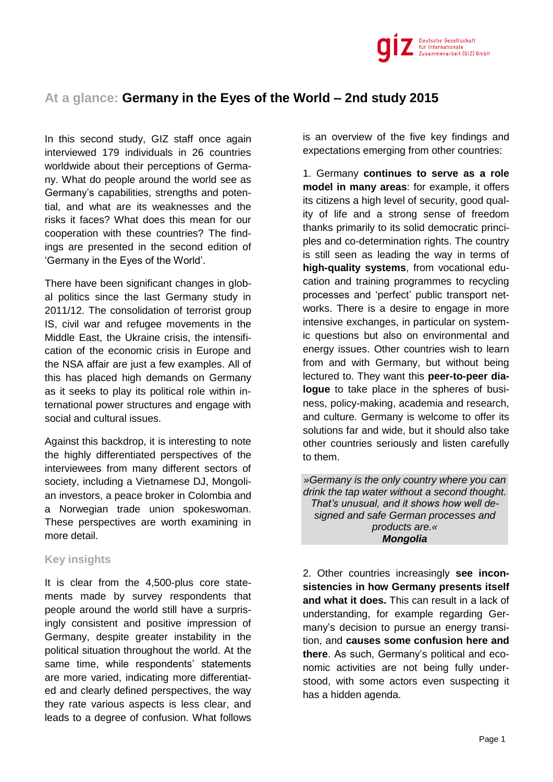

## **At a glance: Germany in the Eyes of the World – 2nd study 2015**

In this second study, GIZ staff once again interviewed 179 individuals in 26 countries worldwide about their perceptions of Germany. What do people around the world see as Germany's capabilities, strengths and potential, and what are its weaknesses and the risks it faces? What does this mean for our cooperation with these countries? The findings are presented in the second edition of 'Germany in the Eyes of the World'.

There have been significant changes in global politics since the last Germany study in 2011/12. The consolidation of terrorist group IS, civil war and refugee movements in the Middle East, the Ukraine crisis, the intensification of the economic crisis in Europe and the NSA affair are just a few examples. All of this has placed high demands on Germany as it seeks to play its political role within international power structures and engage with social and cultural issues.

Against this backdrop, it is interesting to note the highly differentiated perspectives of the interviewees from many different sectors of society, including a Vietnamese DJ, Mongolian investors, a peace broker in Colombia and a Norwegian trade union spokeswoman. These perspectives are worth examining in more detail.

## **Key insights**

It is clear from the 4,500-plus core statements made by survey respondents that people around the world still have a surprisingly consistent and positive impression of Germany, despite greater instability in the political situation throughout the world. At the same time, while respondents' statements are more varied, indicating more differentiated and clearly defined perspectives, the way they rate various aspects is less clear, and leads to a degree of confusion. What follows

is an overview of the five key findings and expectations emerging from other countries:

1. Germany **continues to serve as a role model in many areas**: for example, it offers its citizens a high level of security, good quality of life and a strong sense of freedom thanks primarily to its solid democratic principles and co-determination rights. The country is still seen as leading the way in terms of **high-quality systems**, from vocational education and training programmes to recycling processes and 'perfect' public transport networks. There is a desire to engage in more intensive exchanges, in particular on systemic questions but also on environmental and energy issues. Other countries wish to learn from and with Germany, but without being lectured to. They want this **peer-to-peer dialogue** to take place in the spheres of business, policy-making, academia and research, and culture. Germany is welcome to offer its solutions far and wide, but it should also take other countries seriously and listen carefully to them.

*»Germany is the only country where you can drink the tap water without a second thought. That's unusual, and it shows how well designed and safe German processes and products are.« Mongolia*

2. Other countries increasingly **see inconsistencies in how Germany presents itself and what it does.** This can result in a lack of understanding, for example regarding Germany's decision to pursue an energy transition, and **causes some confusion here and there**. As such, Germany's political and economic activities are not being fully understood, with some actors even suspecting it has a hidden agenda.